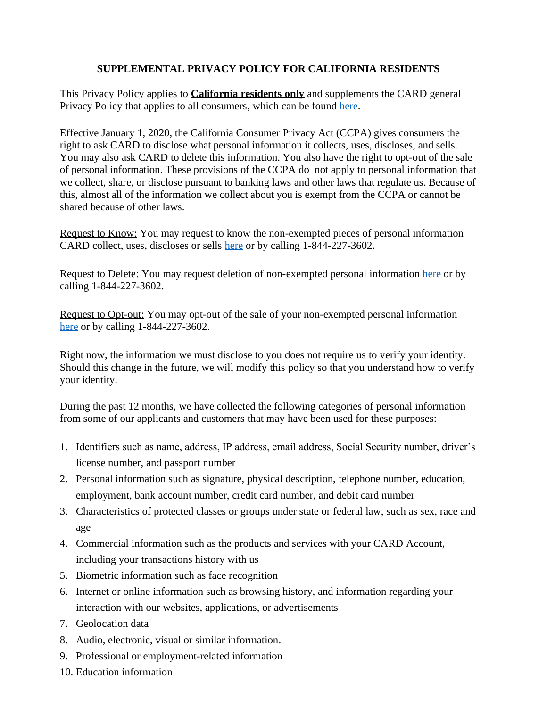## **SUPPLEMENTAL PRIVACY POLICY FOR CALIFORNIA RESIDENTS**

This Privacy Policy applies to **California residents only** and supplements the CARD general Privacy Policy that applies to all consumers, which can be found [here.](https://card-dda-documents.s3-us-west-2.amazonaws.com/privacy-policy.pdf)

Effective January 1, 2020, the California Consumer Privacy Act (CCPA) gives consumers the right to ask CARD to disclose what personal information it collects, uses, discloses, and sells. You may also ask CARD to delete this information. You also have the right to opt-out of the sale of personal information. These provisions of the CCPA do not apply to personal information that we collect, share, or disclose pursuant to banking laws and other laws that regulate us. Because of this, almost all of the information we collect about you is exempt from the CCPA or cannot be shared because of other laws.

Request to Know: You may request to know the non-exempted pieces of personal information CARD collect, uses, discloses or sells [here](https://www.card.com/premium-individual-rights-request) or by calling 1-844-227-3602.

Request to Delete: You may request deletion of non-exempted personal information [here](https://www.card.com/premium-individual-rights-request) or by calling 1-844-227-3602.

Request to Opt-out: You may opt-out of the sale of your non-exempted personal information [here](https://www.card.com/premium-individual-rights-request) or by calling 1-844-227-3602.

Right now, the information we must disclose to you does not require us to verify your identity. Should this change in the future, we will modify this policy so that you understand how to verify your identity.

During the past 12 months, we have collected the following categories of personal information from some of our applicants and customers that may have been used for these purposes:

- 1. Identifiers such as name, address, IP address, email address, Social Security number, driver's license number, and passport number
- 2. Personal information such as signature, physical description, telephone number, education, employment, bank account number, credit card number, and debit card number
- 3. Characteristics of protected classes or groups under state or federal law, such as sex, race and age
- 4. Commercial information such as the products and services with your CARD Account, including your transactions history with us
- 5. Biometric information such as face recognition
- 6. Internet or online information such as browsing history, and information regarding your interaction with our websites, applications, or advertisements
- 7. Geolocation data
- 8. Audio, electronic, visual or similar information.
- 9. Professional or employment-related information
- 10. Education information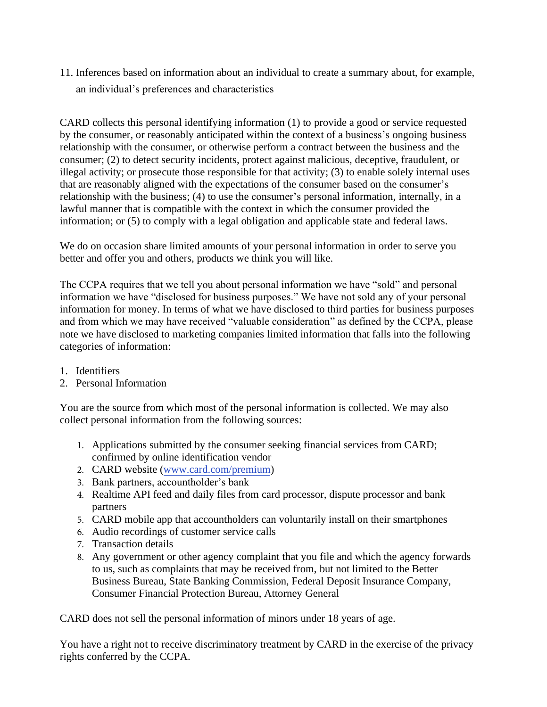11. Inferences based on information about an individual to create a summary about, for example, an individual's preferences and characteristics

CARD collects this personal identifying information (1) to provide a good or service requested by the consumer, or reasonably anticipated within the context of a business's ongoing business relationship with the consumer, or otherwise perform a contract between the business and the consumer; (2) to detect security incidents, protect against malicious, deceptive, fraudulent, or illegal activity; or prosecute those responsible for that activity; (3) to enable solely internal uses that are reasonably aligned with the expectations of the consumer based on the consumer's relationship with the business; (4) to use the consumer's personal information, internally, in a lawful manner that is compatible with the context in which the consumer provided the information; or (5) to comply with a legal obligation and applicable state and federal laws.

We do on occasion share limited amounts of your personal information in order to serve you better and offer you and others, products we think you will like.

The CCPA requires that we tell you about personal information we have "sold" and personal information we have "disclosed for business purposes." We have not sold any of your personal information for money. In terms of what we have disclosed to third parties for business purposes and from which we may have received "valuable consideration" as defined by the CCPA, please note we have disclosed to marketing companies limited information that falls into the following categories of information:

- 1. Identifiers
- 2. Personal Information

You are the source from which most of the personal information is collected. We may also collect personal information from the following sources:

- 1. Applications submitted by the consumer seeking financial services from CARD; confirmed by online identification vendor
- 2. CARD website (ww[w.card.com/premium\)](https://www.card.com/premium)
- 3. Bank partners, accountholder's bank
- 4. Realtime API feed and daily files from card processor, dispute processor and bank partners
- 5. CARD mobile app that accountholders can voluntarily install on their smartphones
- 6. Audio recordings of customer service calls
- 7. Transaction details
- 8. Any government or other agency complaint that you file and which the agency forwards to us, such as complaints that may be received from, but not limited to the Better Business Bureau, State Banking Commission, Federal Deposit Insurance Company, Consumer Financial Protection Bureau, Attorney General

CARD does not sell the personal information of minors under 18 years of age.

You have a right not to receive discriminatory treatment by CARD in the exercise of the privacy rights conferred by the CCPA.